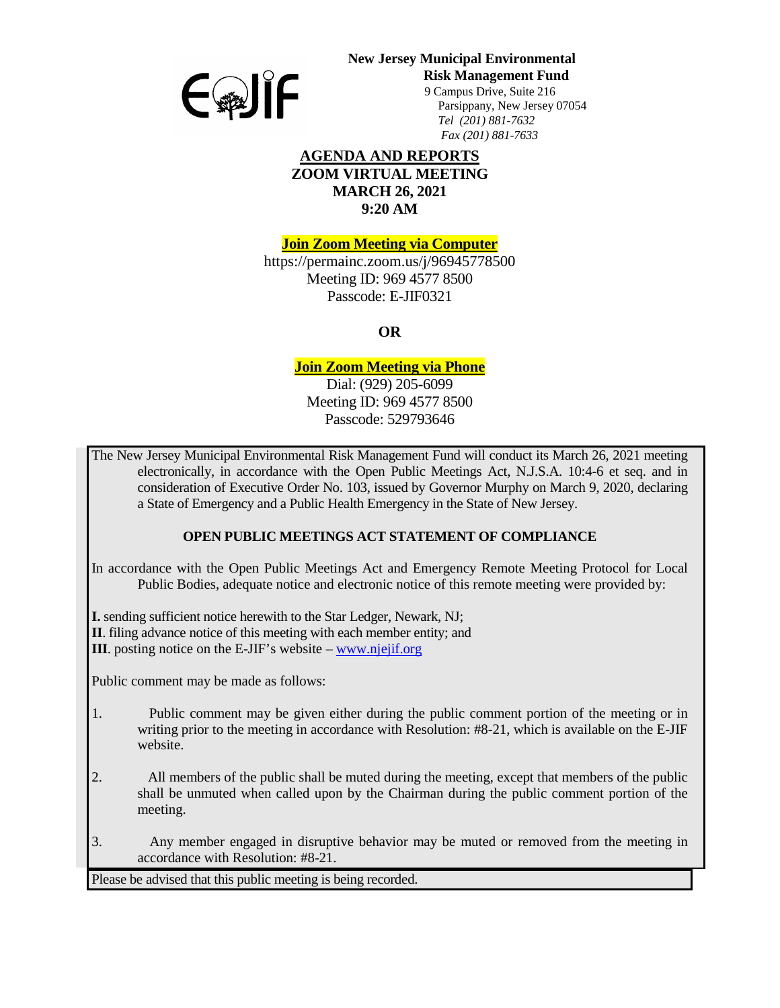

# **New Jersey Municipal Environmental**

**Risk Management Fund** 

 9 Campus Drive, Suite 216 Parsippany, New Jersey 07054 *Tel (201) 881-7632 Fax (201) 881-7633*

## **AGENDA AND REPORTS ZOOM VIRTUAL MEETING MARCH 26, 2021 9:20 AM**

**Join Zoom Meeting via Computer**

https://permainc.zoom.us/j/96945778500 Meeting ID: 969 4577 8500 Passcode: E-JIF0321

**OR**

## **Join Zoom Meeting via Phone**

Dial: (929) 205-6099 Meeting ID: 969 4577 8500 Passcode: 529793646

The New Jersey Municipal Environmental Risk Management Fund will conduct its March 26, 2021 meeting electronically, in accordance with the Open Public Meetings Act, N.J.S.A. 10:4-6 et seq. and in consideration of Executive Order No. 103, issued by Governor Murphy on March 9, 2020, declaring a State of Emergency and a Public Health Emergency in the State of New Jersey.

## **OPEN PUBLIC MEETINGS ACT STATEMENT OF COMPLIANCE**

In accordance with the Open Public Meetings Act and Emergency Remote Meeting Protocol for Local Public Bodies, adequate notice and electronic notice of this remote meeting were provided by:

**I.** sending sufficient notice herewith to the Star Ledger, Newark, NJ;

**II**. filing advance notice of this meeting with each member entity; and

**III**. posting notice on the E-JIF's website – [www.njejif.org](http://www.njejif.org/)

Public comment may be made as follows:

- 1. Public comment may be given either during the public comment portion of the meeting or in writing prior to the meeting in accordance with Resolution: #8-21, which is available on the E-JIF website.
- 2. All members of the public shall be muted during the meeting, except that members of the public shall be unmuted when called upon by the Chairman during the public comment portion of the meeting.
- 3. Any member engaged in disruptive behavior may be muted or removed from the meeting in accordance with Resolution: #8-21.

Please be advised that this public meeting is being recorded.